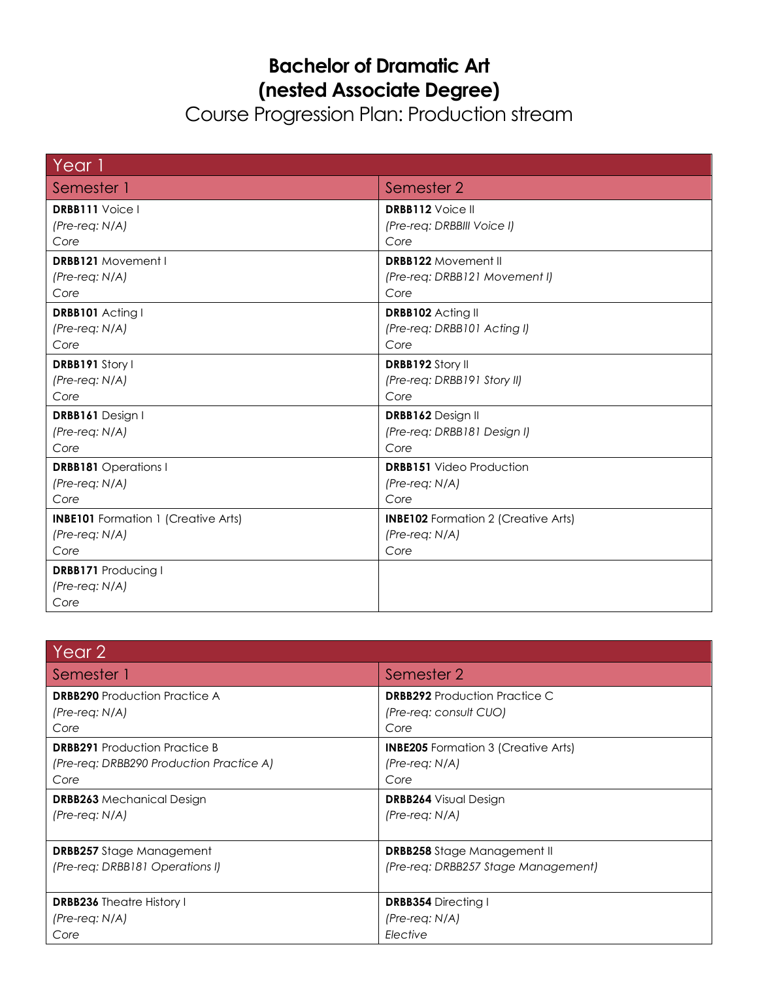## **Bachelor of Dramatic Art (nested Associate Degree)**

Course Progression Plan: Production stream

| Year 1                                                 |                                            |
|--------------------------------------------------------|--------------------------------------------|
| Semester 1                                             | Semester 2                                 |
| <b>DRBB111</b> Voice I                                 | <b>DRBB112 Voice II</b>                    |
| $(Pre-reg: N/A)$                                       | (Pre-req: DRBBIII Voice I)                 |
| Core                                                   | Core                                       |
| <b>DRBB121</b> Movement I                              | <b>DRBB122 Movement II</b>                 |
| $(Pre-reg: N/A)$                                       | (Pre-req: DRBB121 Movement I)              |
| Core                                                   | Core                                       |
| DRBB101 Acting I                                       | DRBB102 Acting II                          |
| $(Pre-reg: N/A)$                                       | (Pre-req: DRBB101 Acting I)                |
| Core                                                   | Core                                       |
| DRBB191 Story I                                        | <b>DRBB192 Story II</b>                    |
| $(Pre-reg: N/A)$                                       | (Pre-req: DRBB191 Story II)                |
| Core                                                   | Core                                       |
| DRBB161 Design I                                       | DRBB162 Design II                          |
| $(Pre-reg: N/A)$                                       | (Pre-req: DRBB181 Design I)                |
| Core                                                   | Core                                       |
| <b>DRBB181</b> Operations I                            | <b>DRBB151</b> Video Production            |
| $(Pre-reg: N/A)$                                       | (Pre-req: N/A)                             |
| Core                                                   | Core                                       |
| <b>INBE101</b> Formation 1 (Creative Arts)             | <b>INBE102</b> Formation 2 (Creative Arts) |
| $(Pre-reg: N/A)$                                       | $(Pre-reg: N/A)$                           |
| Core                                                   | Core                                       |
| <b>DRBB171</b> Producing I<br>$(Pre-reg: N/A)$<br>Core |                                            |

| Year 2                                   |                                            |
|------------------------------------------|--------------------------------------------|
| Semester 1                               | Semester 2                                 |
| <b>DRBB290</b> Production Practice A     | <b>DRBB292</b> Production Practice C       |
| $(Pre-reg: N/A)$                         | (Pre-req: consult CUO)                     |
| Core                                     | Core                                       |
| <b>DRBB291</b> Production Practice B     | <b>INBE205</b> Formation 3 (Creative Arts) |
| (Pre-req: DRBB290 Production Practice A) | $(Pre-reg: N/A)$                           |
| Core                                     | Core                                       |
| <b>DRBB263</b> Mechanical Design         | <b>DRBB264</b> Visual Design               |
| $(Pre-reg: N/A)$                         | $(Pre-reg: N/A)$                           |
|                                          |                                            |
| <b>DRBB257</b> Stage Management          | <b>DRBB258</b> Stage Management II         |
| (Pre-reg: DRBB181 Operations I)          | (Pre-reg: DRBB257 Stage Management)        |
|                                          |                                            |
| <b>DRBB236</b> Theatre History I         | <b>DRBB354</b> Directing I                 |
| $(Pre-reg: N/A)$                         | $(Pre-reg: N/A)$                           |
| Core                                     | Elective                                   |